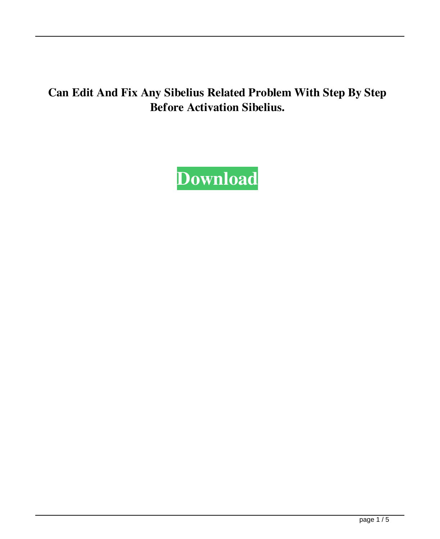## **Can Edit And Fix Any Sibelius Related Problem With Step By Step Before Activation Sibelius.**

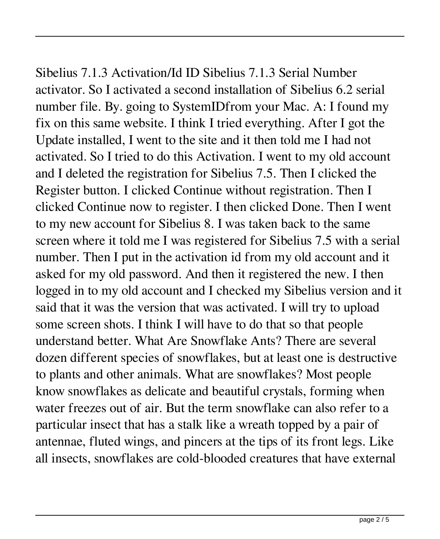Sibelius 7.1.3 Activation/Id ID Sibelius 7.1.3 Serial Number activator. So I activated a second installation of Sibelius 6.2 serial number file. By. going to SystemIDfrom your Mac. A: I found my fix on this same website. I think I tried everything. After I got the Update installed, I went to the site and it then told me I had not activated. So I tried to do this Activation. I went to my old account and I deleted the registration for Sibelius 7.5. Then I clicked the Register button. I clicked Continue without registration. Then I clicked Continue now to register. I then clicked Done. Then I went to my new account for Sibelius 8. I was taken back to the same screen where it told me I was registered for Sibelius 7.5 with a serial number. Then I put in the activation id from my old account and it asked for my old password. And then it registered the new. I then logged in to my old account and I checked my Sibelius version and it said that it was the version that was activated. I will try to upload some screen shots. I think I will have to do that so that people understand better. What Are Snowflake Ants? There are several dozen different species of snowflakes, but at least one is destructive to plants and other animals. What are snowflakes? Most people know snowflakes as delicate and beautiful crystals, forming when water freezes out of air. But the term snowflake can also refer to a particular insect that has a stalk like a wreath topped by a pair of antennae, fluted wings, and pincers at the tips of its front legs. Like all insects, snowflakes are cold-blooded creatures that have external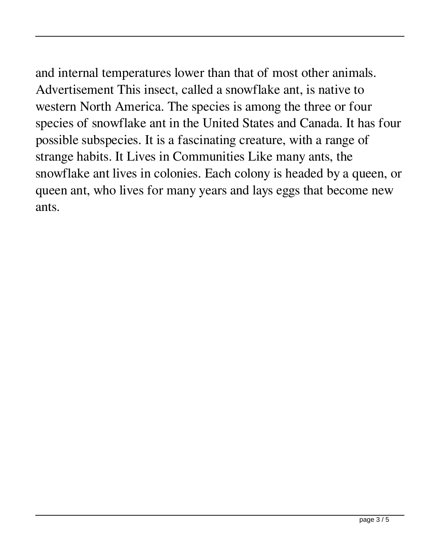and internal temperatures lower than that of most other animals. Advertisement This insect, called a snowflake ant, is native to western North America. The species is among the three or four species of snowflake ant in the United States and Canada. It has four possible subspecies. It is a fascinating creature, with a range of strange habits. It Lives in Communities Like many ants, the snowflake ant lives in colonies. Each colony is headed by a queen, or queen ant, who lives for many years and lays eggs that become new ants.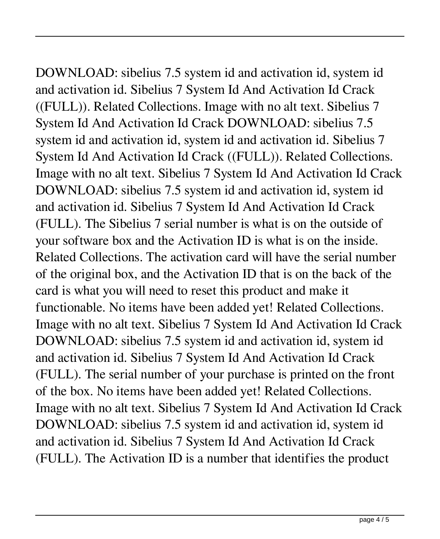DOWNLOAD: sibelius 7.5 system id and activation id, system id and activation id. Sibelius 7 System Id And Activation Id Crack ((FULL)). Related Collections. Image with no alt text. Sibelius 7 System Id And Activation Id Crack DOWNLOAD: sibelius 7.5 system id and activation id, system id and activation id. Sibelius 7 System Id And Activation Id Crack ((FULL)). Related Collections. Image with no alt text. Sibelius 7 System Id And Activation Id Crack DOWNLOAD: sibelius 7.5 system id and activation id, system id and activation id. Sibelius 7 System Id And Activation Id Crack (FULL). The Sibelius 7 serial number is what is on the outside of your software box and the Activation ID is what is on the inside. Related Collections. The activation card will have the serial number of the original box, and the Activation ID that is on the back of the card is what you will need to reset this product and make it functionable. No items have been added yet! Related Collections. Image with no alt text. Sibelius 7 System Id And Activation Id Crack DOWNLOAD: sibelius 7.5 system id and activation id, system id and activation id. Sibelius 7 System Id And Activation Id Crack (FULL). The serial number of your purchase is printed on the front of the box. No items have been added yet! Related Collections. Image with no alt text. Sibelius 7 System Id And Activation Id Crack DOWNLOAD: sibelius 7.5 system id and activation id, system id and activation id. Sibelius 7 System Id And Activation Id Crack (FULL). The Activation ID is a number that identifies the product